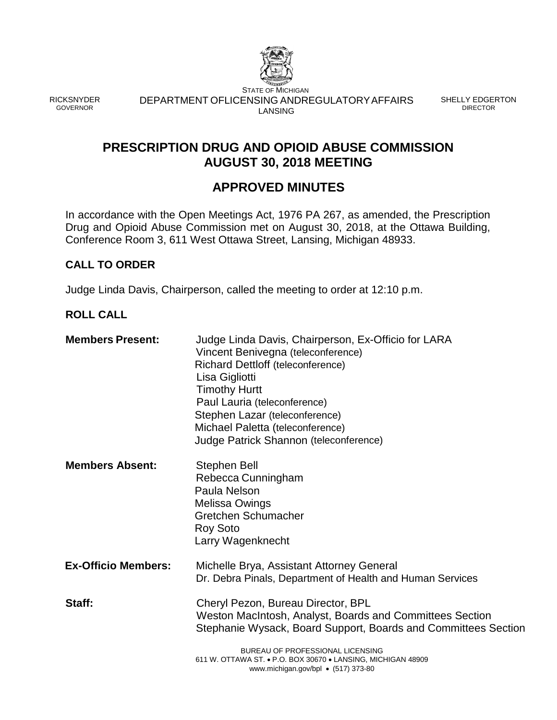

RICKSNYDER GOVERNOR

STATE OF MICHIGAN DEPARTMENT OFLICENSING ANDREGULATORYAFFAIRS LANSING

SHELLY EDGERTON DIRECTOR

## **PRESCRIPTION DRUG AND OPIOID ABUSE COMMISSION AUGUST 30, 2018 MEETING**

## **APPROVED MINUTES**

In accordance with the Open Meetings Act, 1976 PA 267, as amended, the Prescription Drug and Opioid Abuse Commission met on August 30, 2018, at the Ottawa Building, Conference Room 3, 611 West Ottawa Street, Lansing, Michigan 48933.

#### **CALL TO ORDER**

Judge Linda Davis, Chairperson, called the meeting to order at 12:10 p.m.

#### **ROLL CALL**

| Vincent Benivegna (teleconference)<br>Richard Dettloff (teleconference)<br>Lisa Gigliotti<br><b>Timothy Hurtt</b><br>Paul Lauria (teleconference)<br>Stephen Lazar (teleconference)<br>Michael Paletta (teleconference)<br>Judge Patrick Shannon (teleconference)    |
|----------------------------------------------------------------------------------------------------------------------------------------------------------------------------------------------------------------------------------------------------------------------|
| Stephen Bell<br>Rebecca Cunningham<br>Paula Nelson<br><b>Melissa Owings</b><br><b>Gretchen Schumacher</b><br><b>Roy Soto</b><br>Larry Wagenknecht                                                                                                                    |
| Michelle Brya, Assistant Attorney General<br>Dr. Debra Pinals, Department of Health and Human Services                                                                                                                                                               |
| Cheryl Pezon, Bureau Director, BPL<br>Weston MacIntosh, Analyst, Boards and Committees Section<br>Stephanie Wysack, Board Support, Boards and Committees Section<br>BUREAU OF PROFESSIONAL LICENSING<br>611 W. OTTAWA ST. • P.O. BOX 30670 • LANSING, MICHIGAN 48909 |
|                                                                                                                                                                                                                                                                      |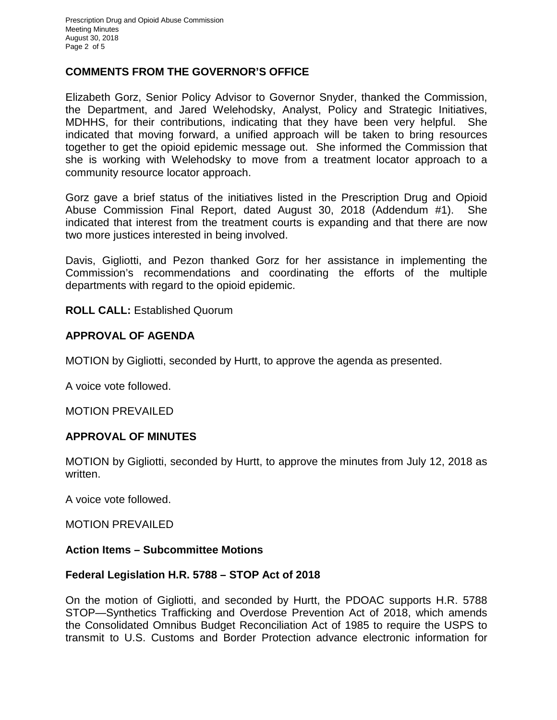#### **COMMENTS FROM THE GOVERNOR'S OFFICE**

Elizabeth Gorz, Senior Policy Advisor to Governor Snyder, thanked the Commission, the Department, and Jared Welehodsky, Analyst, Policy and Strategic Initiatives, MDHHS, for their contributions, indicating that they have been very helpful. She indicated that moving forward, a unified approach will be taken to bring resources together to get the opioid epidemic message out. She informed the Commission that she is working with Welehodsky to move from a treatment locator approach to a community resource locator approach.

Gorz gave a brief status of the initiatives listed in the Prescription Drug and Opioid Abuse Commission Final Report, dated August 30, 2018 (Addendum #1). She indicated that interest from the treatment courts is expanding and that there are now two more justices interested in being involved.

Davis, Gigliotti, and Pezon thanked Gorz for her assistance in implementing the Commission's recommendations and coordinating the efforts of the multiple departments with regard to the opioid epidemic.

**ROLL CALL:** Established Quorum

#### **APPROVAL OF AGENDA**

MOTION by Gigliotti, seconded by Hurtt, to approve the agenda as presented.

A voice vote followed.

MOTION PREVAILED

#### **APPROVAL OF MINUTES**

MOTION by Gigliotti, seconded by Hurtt, to approve the minutes from July 12, 2018 as written.

A voice vote followed.

MOTION PREVAILED

#### **Action Items – Subcommittee Motions**

#### **Federal Legislation H.R. 5788 – STOP Act of 2018**

On the motion of Gigliotti, and seconded by Hurtt, the PDOAC supports H.R. 5788 STOP—Synthetics Trafficking and Overdose Prevention Act of 2018, which amends the Consolidated Omnibus Budget Reconciliation Act of 1985 to require the USPS to transmit to U.S. Customs and Border Protection advance electronic information for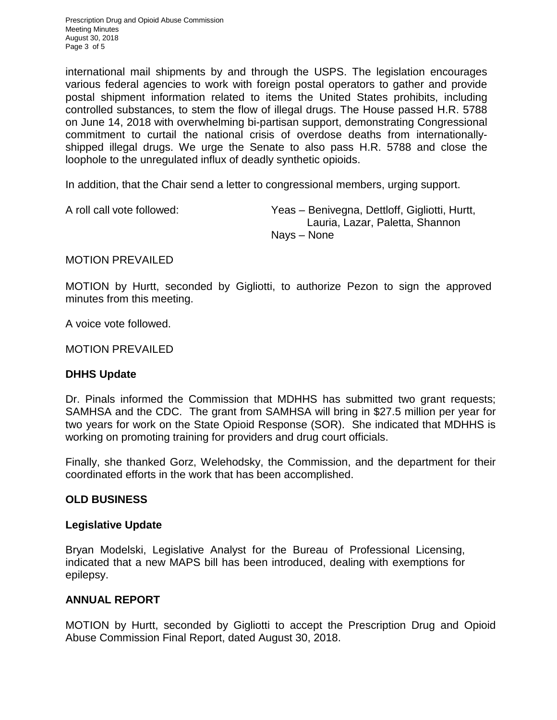Prescription Drug and Opioid Abuse Commission Meeting Minutes August 30, 2018 Page 3 of 5

international mail shipments by and through the USPS. The legislation encourages various federal agencies to work with foreign postal operators to gather and provide postal shipment information related to items the United States prohibits, including controlled substances, to stem the flow of illegal drugs. The House passed H.R. 5788 on June 14, 2018 with overwhelming bi-partisan support, demonstrating Congressional commitment to curtail the national crisis of overdose deaths from internationallyshipped illegal drugs. We urge the Senate to also pass H.R. 5788 and close the loophole to the unregulated influx of deadly synthetic opioids.

In addition, that the Chair send a letter to congressional members, urging support.

A roll call vote followed: Yeas – Benivegna, Dettloff, Gigliotti, Hurtt, Lauria, Lazar, Paletta, Shannon Nays – None

#### MOTION PREVAILED

MOTION by Hurtt, seconded by Gigliotti, to authorize Pezon to sign the approved minutes from this meeting.

A voice vote followed.

MOTION PREVAILED

#### **DHHS Update**

Dr. Pinals informed the Commission that MDHHS has submitted two grant requests; SAMHSA and the CDC. The grant from SAMHSA will bring in \$27.5 million per year for two years for work on the State Opioid Response (SOR). She indicated that MDHHS is working on promoting training for providers and drug court officials.

Finally, she thanked Gorz, Welehodsky, the Commission, and the department for their coordinated efforts in the work that has been accomplished.

#### **OLD BUSINESS**

#### **Legislative Update**

Bryan Modelski, Legislative Analyst for the Bureau of Professional Licensing, indicated that a new MAPS bill has been introduced, dealing with exemptions for epilepsy.

#### **ANNUAL REPORT**

MOTION by Hurtt, seconded by Gigliotti to accept the Prescription Drug and Opioid Abuse Commission Final Report, dated August 30, 2018.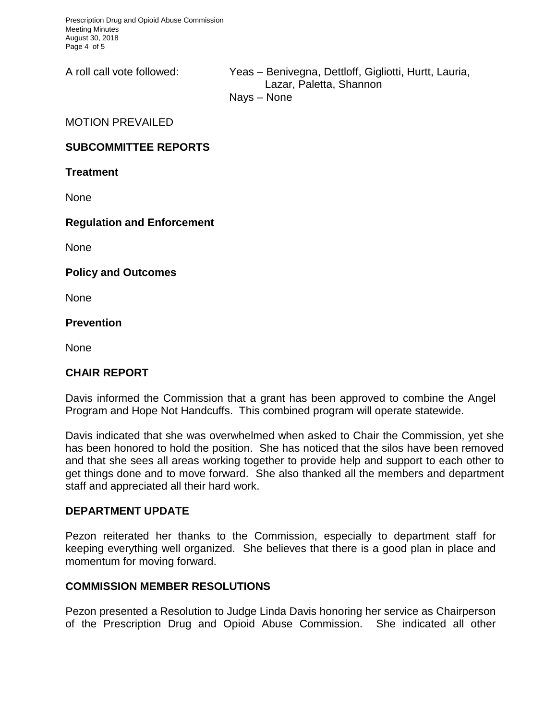Prescription Drug and Opioid Abuse Commission Meeting Minutes August 30, 2018 Page 4 of 5

A roll call vote followed: Yeas – Benivegna, Dettloff, Gigliotti, Hurtt, Lauria, Lazar, Paletta, Shannon Nays – None

MOTION PREVAILED

#### **SUBCOMMITTEE REPORTS**

**Treatment**

**None** 

#### **Regulation and Enforcement**

None

**Policy and Outcomes**

None

**Prevention**

None

#### **CHAIR REPORT**

Davis informed the Commission that a grant has been approved to combine the Angel Program and Hope Not Handcuffs. This combined program will operate statewide.

Davis indicated that she was overwhelmed when asked to Chair the Commission, yet she has been honored to hold the position. She has noticed that the silos have been removed and that she sees all areas working together to provide help and support to each other to get things done and to move forward. She also thanked all the members and department staff and appreciated all their hard work.

#### **DEPARTMENT UPDATE**

Pezon reiterated her thanks to the Commission, especially to department staff for keeping everything well organized. She believes that there is a good plan in place and momentum for moving forward.

#### **COMMISSION MEMBER RESOLUTIONS**

Pezon presented a Resolution to Judge Linda Davis honoring her service as Chairperson of the Prescription Drug and Opioid Abuse Commission. She indicated all other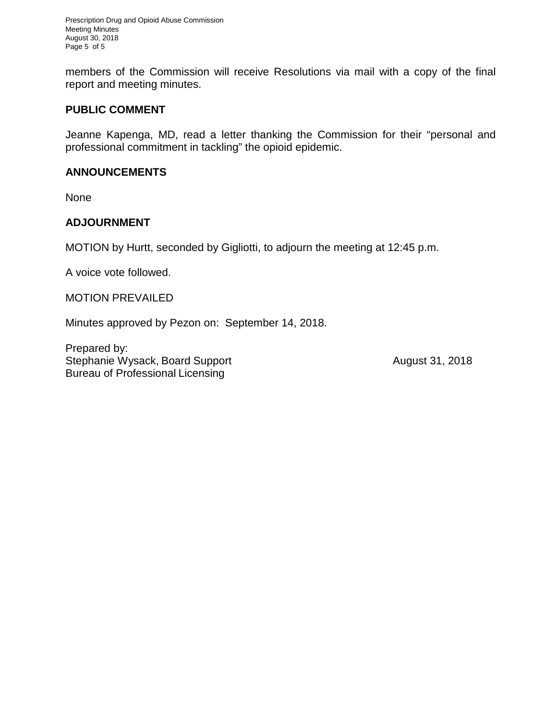Prescription Drug and Opioid Abuse Commission Meeting Minutes August 30, 2018 Page 5 of 5

members of the Commission will receive Resolutions via mail with a copy of the final report and meeting minutes.

#### **PUBLIC COMMENT**

Jeanne Kapenga, MD, read a letter thanking the Commission for their "personal and professional commitment in tackling" the opioid epidemic.

#### **ANNOUNCEMENTS**

None

#### **ADJOURNMENT**

MOTION by Hurtt, seconded by Gigliotti, to adjourn the meeting at 12:45 p.m.

A voice vote followed.

MOTION PREVAILED

Minutes approved by Pezon on: September 14, 2018.

Prepared by: Stephanie Wysack, Board Support **August 31, 2018** Bureau of Professional Licensing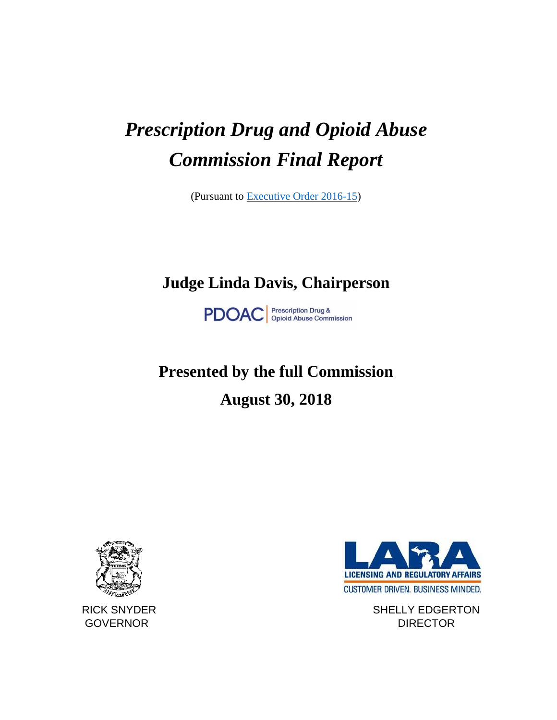# *Prescription Drug and Opioid Abuse Commission Final Report*

(Pursuant to [Executive Order 2016-15\)](http://www.michigan.gov/documents/snyder/EO_2016-15_527251_7.pdf)

# **Judge Linda Davis, Chairperson**

**PDOAC** *Prescription Drug &*<br> *Opioid Abuse Commission* 

# **Presented by the full Commission August 30, 2018**



**LICENSING AND REGULATORY AFFAIRS** CUSTOMER DRIVEN. BUSINESS MINDED.

RICK SNYDER SHELLY EDGERTON GOVERNOR DIRECTOR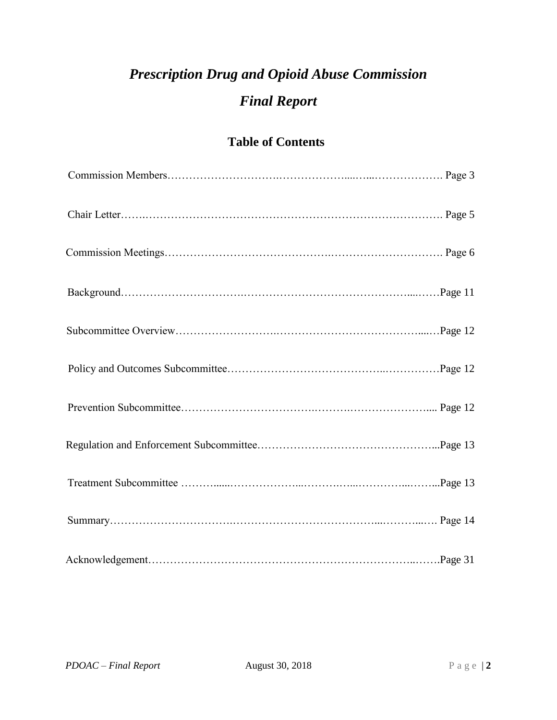# *Prescription Drug and Opioid Abuse Commission Final Report*

## **Table of Contents**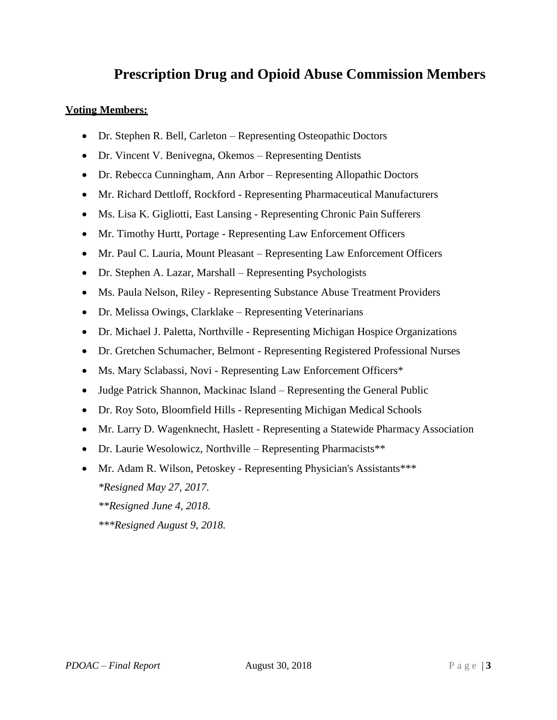# **Prescription Drug and Opioid Abuse Commission Members**

#### **Voting Members:**

- Dr. Stephen R. Bell, Carleton Representing Osteopathic Doctors
- Dr. Vincent V. Benivegna, Okemos Representing Dentists
- Dr. Rebecca Cunningham, Ann Arbor Representing Allopathic Doctors
- Mr. Richard Dettloff, Rockford Representing Pharmaceutical Manufacturers
- Ms. Lisa K. Gigliotti, East Lansing Representing Chronic Pain Sufferers
- Mr. Timothy Hurtt, Portage Representing Law Enforcement Officers
- Mr. Paul C. Lauria, Mount Pleasant Representing Law Enforcement Officers
- Dr. Stephen A. Lazar, Marshall Representing Psychologists
- Ms. Paula Nelson, Riley Representing Substance Abuse Treatment Providers
- Dr. Melissa Owings, Clarklake Representing Veterinarians
- Dr. Michael J. Paletta, Northville Representing Michigan Hospice Organizations
- Dr. Gretchen Schumacher, Belmont Representing Registered Professional Nurses
- Ms. Mary Sclabassi, Novi Representing Law Enforcement Officers\*
- Judge Patrick Shannon, Mackinac Island Representing the General Public
- Dr. Roy Soto, Bloomfield Hills Representing Michigan Medical Schools
- Mr. Larry D. Wagenknecht, Haslett Representing a Statewide Pharmacy Association
- Dr. Laurie Wesolowicz, Northville Representing Pharmacists\*\*
- Mr. Adam R. Wilson, Petoskey Representing Physician's Assistants\*\*\* *\*Resigned May 27, 2017.*
	- *\*\*Resigned June 4, 2018.*
	- *\*\*\*Resigned August 9, 2018.*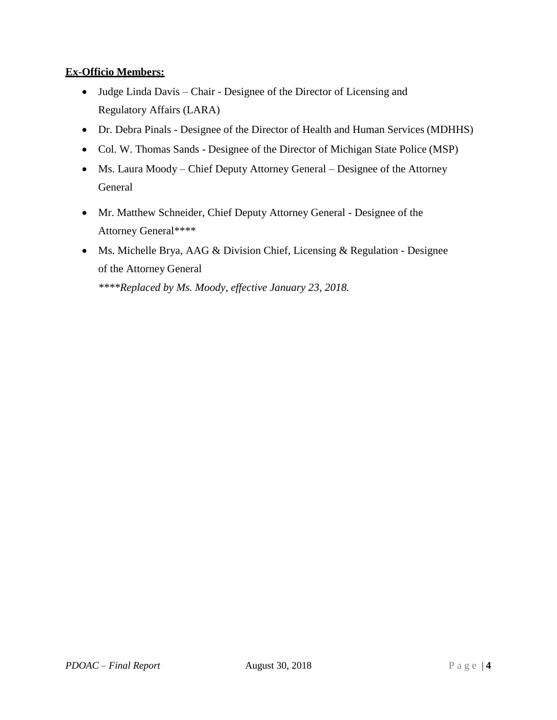#### **Ex-Officio Members:**

- Judge Linda Davis Chair Designee of the Director of Licensing and Regulatory Affairs (LARA)
- Dr. Debra Pinals Designee of the Director of Health and Human Services (MDHHS)
- Col. W. Thomas Sands Designee of the Director of Michigan State Police (MSP)
- Ms. Laura Moody Chief Deputy Attorney General Designee of the Attorney General
- Mr. Matthew Schneider, Chief Deputy Attorney General Designee of the Attorney General\*\*\*\*
- Ms. Michelle Brya, AAG & Division Chief, Licensing & Regulation Designee of the Attorney General

*\*\*\*\*Replaced by Ms. Moody, effective January 23, 2018.*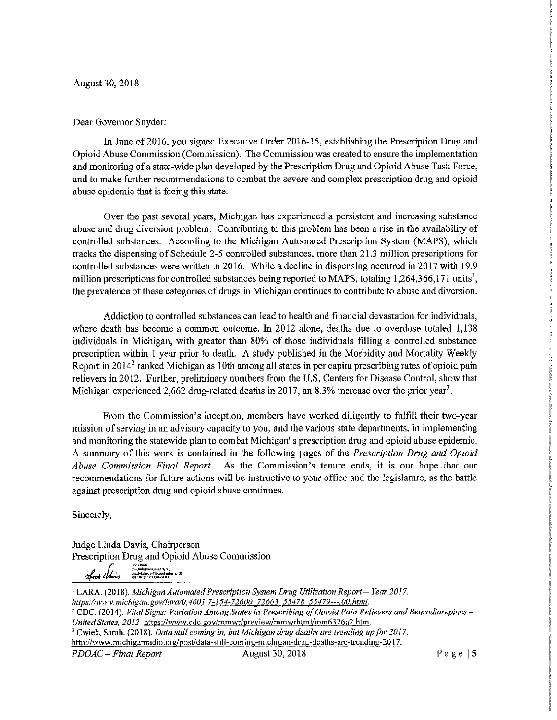August 30, 2018

#### Dear Governor Snyder:

In June of 2016, you signed Executive Order 2016-15, establishing the Prescription Drug and Opioid Abuse Commission (Commission). The Commission was created to ensure the implementation and monitoring of a state-wide plan developed by the Prescription Drug and Opioid Abuse Task Force, and to make further recommendations to combat the severe and complex prescription drug and opioid abuse epidemic that is facing this state.

Over the past several years, Michigan has experienced a persistent and increasing substance abuse and drug diversion problem. Contributing to this problem has been a rise in the availability of controlled substances. According to the Michigan Automated Prescription System (MAPS), which tracks the dispensing of Schedule 2-5 controlled substances, more than 21.3 million prescriptions for controlled substances were written in 2016. While a decline in dispensing occurred in 2017 with 19.9 million prescriptions for controlled substances being reported to MAPS, totaling 1,264,366,171 units<sup>1</sup>, the prevalence of these categories of drugs in Michigan continues to contribute to abuse and diversion.

Addiction to controlled substances can lead to health and financial devastation for individuals, where death has become a common outcome. In 2012 alone, deaths due to overdose totaled 1,138 individuals in Michigan, with greater than 80% of those individuals filling a controlled substance prescription within 1 year prior to death. A study published in the Morbidity and Mortality Weekly Report in 2014<sup>2</sup> ranked Michigan as 10th among all states in per capita prescribing rates of opioid pain relievers in 2012. Further, preliminary numbers from the U.S. Centers for Disease Control, show that Michigan experienced 2,662 drug-related deaths in 2017, an 8.3% increase over the prior year<sup>3</sup>.

From the Commission's inception, members have worked diligently to fulfill their two-year mission of serving in an advisory capacity to you, and the various state departments, in implementing and monitoring the statewide plan to combat Michigan's prescription drug and opioid abuse epidemic. A summary of this work is contained in the following pages of the *Prescription Drug and Opioid* Abuse Commission Final Report. As the Commission's tenure ends, it is our hope that our recommendations for future actions will be instructive to your office and the legislature, as the battle against prescription drug and opioid abuse continues.

Sincerely,

Judge Linda Davis, Chairperson Prescription Drug and Opioid Abuse Commission

Linda Davis<br>cz=Unda Davis, p=FAN, ou,<br>email=Lidavis@41bcourl-mi*lus, c*=US<br>2018.09.26 12:23;48-04'00'

<sup>1</sup> LARA. (2018). Michigan Automated Prescription System Drug Utilization Report - Year 2017. https://www.michigan.gov/lara/0,4601,7-154-72600\_72603\_55478\_55479---,00.html. <sup>2</sup> CDC. (2014). Vital Signs: Variation Among States in Prescribing of Opioid Pain Relievers and Benzodiazepines -United States, 2012. https://www.cdc.gov/mmwr/preview/mmwrhtml/mm6326a2.htm. <sup>3</sup> Cwiek, Sarah. (2018). Data still coming in, but Michigan drug deaths are trending up for 2017. http://www.michiganradio.org/post/data-still-coming-michigan-drug-deaths-are-trending-2017. PDOAC - Final Report August 30, 2018 Page  $|5$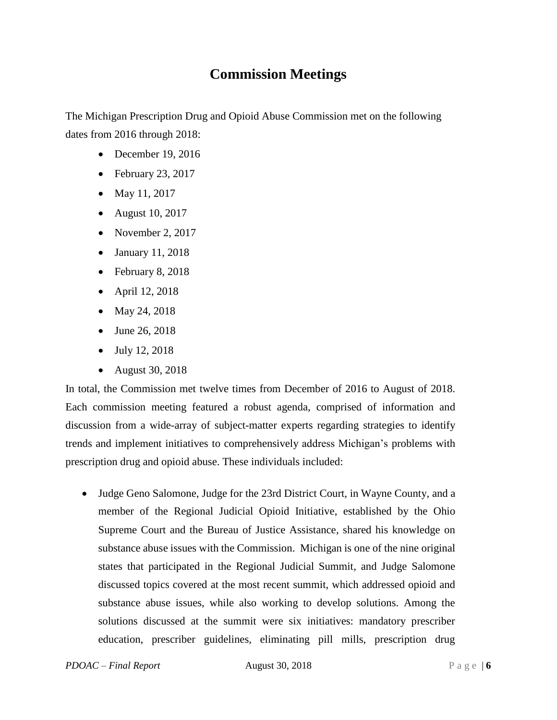# **Commission Meetings**

The Michigan Prescription Drug and Opioid Abuse Commission met on the following dates from 2016 through 2018:

- December 19, 2016
- February 23, 2017
- May 11, 2017
- August 10, 2017
- November 2, 2017
- January 11, 2018
- February 8, 2018
- April 12, 2018
- May 24, 2018
- June 26, 2018
- July 12, 2018
- August 30, 2018

In total, the Commission met twelve times from December of 2016 to August of 2018. Each commission meeting featured a robust agenda, comprised of information and discussion from a wide-array of subject-matter experts regarding strategies to identify trends and implement initiatives to comprehensively address Michigan's problems with prescription drug and opioid abuse. These individuals included:

• Judge Geno Salomone, Judge for the 23rd District Court, in Wayne County, and a member of the Regional Judicial Opioid Initiative, established by the Ohio Supreme Court and the Bureau of Justice Assistance, shared his knowledge on substance abuse issues with the Commission. Michigan is one of the nine original states that participated in the Regional Judicial Summit, and Judge Salomone discussed topics covered at the most recent summit, which addressed opioid and substance abuse issues, while also working to develop solutions. Among the solutions discussed at the summit were six initiatives: mandatory prescriber education, prescriber guidelines, eliminating pill mills, prescription drug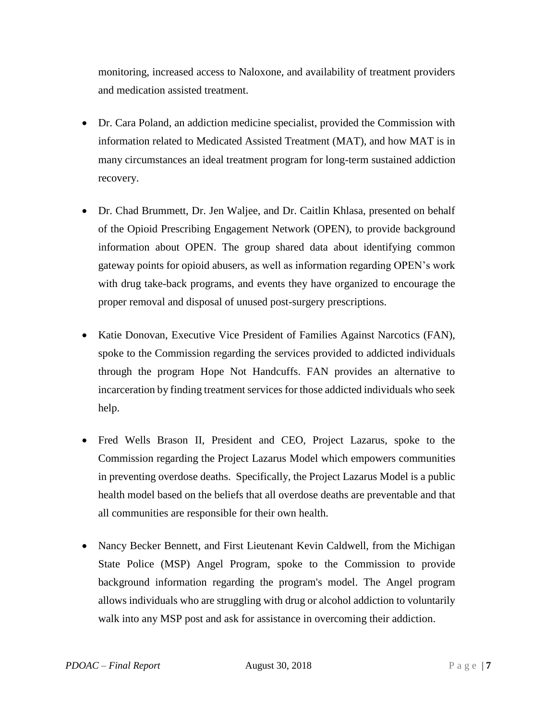monitoring, increased access to Naloxone, and availability of treatment providers and medication assisted treatment.

- Dr. Cara Poland, an addiction medicine specialist, provided the Commission with information related to Medicated Assisted Treatment (MAT), and how MAT is in many circumstances an ideal treatment program for long-term sustained addiction recovery.
- Dr. Chad Brummett, Dr. Jen Waljee, and Dr. Caitlin Khlasa, presented on behalf of the Opioid Prescribing Engagement Network (OPEN), to provide background information about OPEN. The group shared data about identifying common gateway points for opioid abusers, as well as information regarding OPEN's work with drug take-back programs, and events they have organized to encourage the proper removal and disposal of unused post-surgery prescriptions.
- Katie Donovan, Executive Vice President of Families Against Narcotics (FAN), spoke to the Commission regarding the services provided to addicted individuals through the program Hope Not Handcuffs. FAN provides an alternative to incarceration by finding treatment services for those addicted individuals who seek help.
- Fred Wells Brason II, President and CEO, Project Lazarus, spoke to the Commission regarding the Project Lazarus Model which empowers communities in preventing overdose deaths. Specifically, the Project Lazarus Model is a public health model based on the beliefs that all overdose deaths are preventable and that all communities are responsible for their own health.
- Nancy Becker Bennett, and First Lieutenant Kevin Caldwell, from the Michigan State Police (MSP) Angel Program, spoke to the Commission to provide background information regarding the program's model. The Angel program allows individuals who are struggling with drug or alcohol addiction to voluntarily walk into any MSP post and ask for assistance in overcoming their addiction.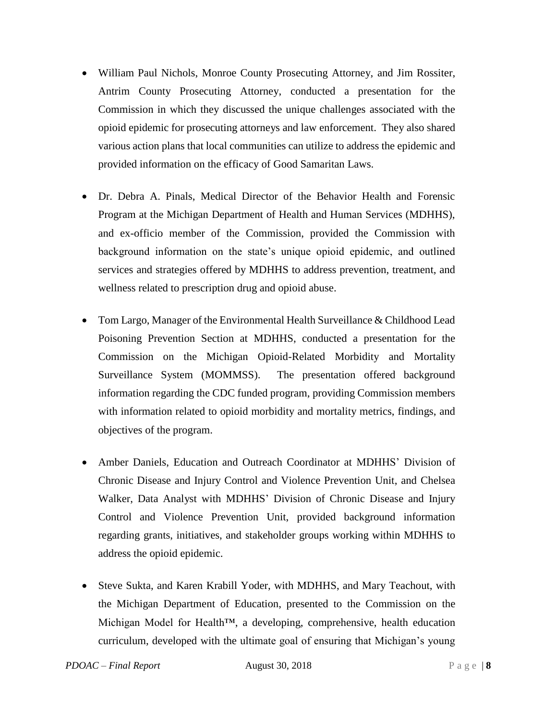- William Paul Nichols, Monroe County Prosecuting Attorney, and Jim Rossiter, Antrim County Prosecuting Attorney, conducted a presentation for the Commission in which they discussed the unique challenges associated with the opioid epidemic for prosecuting attorneys and law enforcement. They also shared various action plans that local communities can utilize to address the epidemic and provided information on the efficacy of Good Samaritan Laws.
- Dr. Debra A. Pinals, Medical Director of the Behavior Health and Forensic Program at the Michigan Department of Health and Human Services (MDHHS), and ex-officio member of the Commission, provided the Commission with background information on the state's unique opioid epidemic, and outlined services and strategies offered by MDHHS to address prevention, treatment, and wellness related to prescription drug and opioid abuse.
- Tom Largo, Manager of the Environmental Health Surveillance & Childhood Lead Poisoning Prevention Section at MDHHS, conducted a presentation for the Commission on the Michigan Opioid-Related Morbidity and Mortality Surveillance System (MOMMSS). The presentation offered background information regarding the CDC funded program, providing Commission members with information related to opioid morbidity and mortality metrics, findings, and objectives of the program.
- Amber Daniels, Education and Outreach Coordinator at MDHHS' Division of Chronic Disease and Injury Control and Violence Prevention Unit, and Chelsea Walker, Data Analyst with MDHHS' Division of Chronic Disease and Injury Control and Violence Prevention Unit, provided background information regarding grants, initiatives, and stakeholder groups working within MDHHS to address the opioid epidemic.
- Steve Sukta, and Karen Krabill Yoder, with MDHHS, and Mary Teachout, with the Michigan Department of Education, presented to the Commission on the Michigan Model for Health™, a developing, comprehensive, health education curriculum, developed with the ultimate goal of ensuring that Michigan's young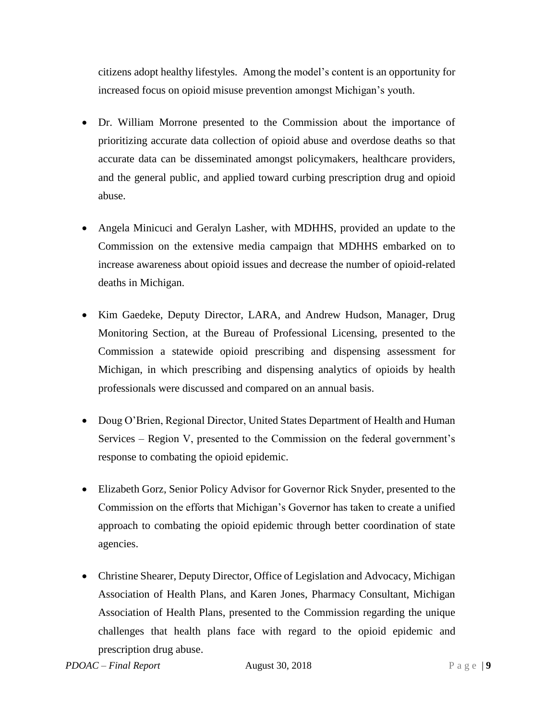citizens adopt healthy lifestyles. Among the model's content is an opportunity for increased focus on opioid misuse prevention amongst Michigan's youth.

- Dr. William Morrone presented to the Commission about the importance of prioritizing accurate data collection of opioid abuse and overdose deaths so that accurate data can be disseminated amongst policymakers, healthcare providers, and the general public, and applied toward curbing prescription drug and opioid abuse.
- Angela Minicuci and Geralyn Lasher, with MDHHS, provided an update to the Commission on the extensive media campaign that MDHHS embarked on to increase awareness about opioid issues and decrease the number of opioid-related deaths in Michigan.
- Kim Gaedeke, Deputy Director, LARA, and Andrew Hudson, Manager, Drug Monitoring Section, at the Bureau of Professional Licensing, presented to the Commission a statewide opioid prescribing and dispensing assessment for Michigan, in which prescribing and dispensing analytics of opioids by health professionals were discussed and compared on an annual basis.
- Doug O'Brien, Regional Director, United States Department of Health and Human Services – Region V, presented to the Commission on the federal government's response to combating the opioid epidemic.
- Elizabeth Gorz, Senior Policy Advisor for Governor Rick Snyder, presented to the Commission on the efforts that Michigan's Governor has taken to create a unified approach to combating the opioid epidemic through better coordination of state agencies.
- Christine Shearer, Deputy Director, Office of Legislation and Advocacy, Michigan Association of Health Plans, and Karen Jones, Pharmacy Consultant, Michigan Association of Health Plans, presented to the Commission regarding the unique challenges that health plans face with regard to the opioid epidemic and prescription drug abuse.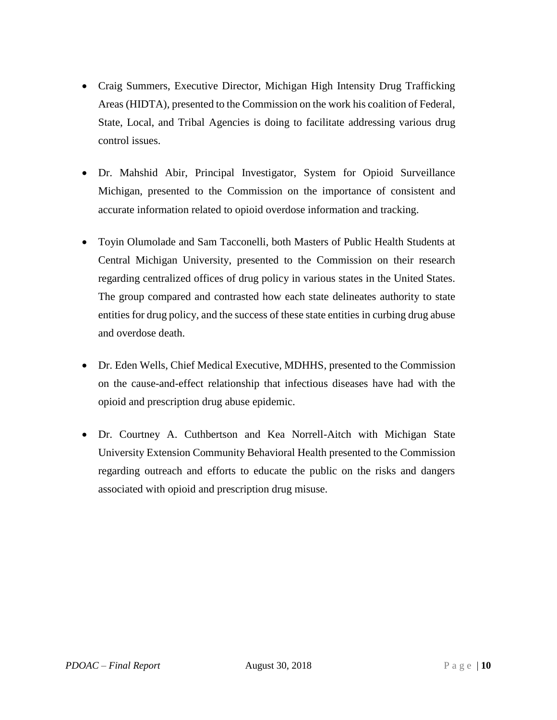- Craig Summers, Executive Director, Michigan High Intensity Drug Trafficking Areas (HIDTA), presented to the Commission on the work his coalition of Federal, State, Local, and Tribal Agencies is doing to facilitate addressing various drug control issues.
- Dr. Mahshid Abir, Principal Investigator, System for Opioid Surveillance Michigan, presented to the Commission on the importance of consistent and accurate information related to opioid overdose information and tracking.
- Toyin Olumolade and Sam Tacconelli, both Masters of Public Health Students at Central Michigan University, presented to the Commission on their research regarding centralized offices of drug policy in various states in the United States. The group compared and contrasted how each state delineates authority to state entities for drug policy, and the success of these state entities in curbing drug abuse and overdose death.
- Dr. Eden Wells, Chief Medical Executive, MDHHS, presented to the Commission on the cause-and-effect relationship that infectious diseases have had with the opioid and prescription drug abuse epidemic.
- Dr. Courtney A. Cuthbertson and Kea Norrell-Aitch with Michigan State University Extension Community Behavioral Health presented to the Commission regarding outreach and efforts to educate the public on the risks and dangers associated with opioid and prescription drug misuse.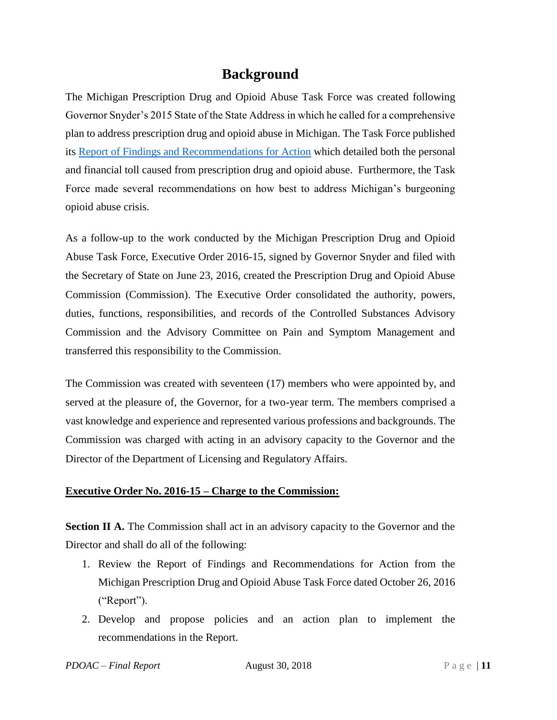# **Background**

The Michigan Prescription Drug and Opioid Abuse Task Force was created following Governor Snyder's 2015 State of the State Address in which he called for a comprehensive plan to address prescription drug and opioid abuse in Michigan. The Task Force published its [Report of Findings and Recommendations for Action](https://www.michigan.gov/documents/snyder/Presciption_Drug_and_Opioid_Task_Force_Report_504140_7.pdf) which detailed both the personal and financial toll caused from prescription drug and opioid abuse. Furthermore, the Task Force made several recommendations on how best to address Michigan's burgeoning opioid abuse crisis.

As a follow-up to the work conducted by the Michigan Prescription Drug and Opioid Abuse Task Force, [Executive Order 2016-15,](http://www.michigan.gov/documents/snyder/EO_2016-15_527251_7.pdf) signed by Governor Snyder and filed with the Secretary of State on June 23, 2016, created the Prescription Drug and Opioid Abuse Commission (Commission). The Executive Order consolidated the authority, powers, duties, functions, responsibilities, and records of the Controlled Substances Advisory Commission and the Advisory Committee on Pain and Symptom Management and transferred this responsibility to the Commission.

The Commission was created with seventeen (17) members who were appointed by, and served at the pleasure of, the Governor, for a two-year term. The members comprised a vast knowledge and experience and represented various professions and backgrounds. The Commission was charged with acting in an advisory capacity to the Governor and the Director of the Department of Licensing and Regulatory Affairs.

#### **Executive Order No. 2016-15 – Charge to the Commission:**

**Section II A.** The Commission shall act in an advisory capacity to the Governor and the Director and shall do all of the following:

- 1. Review the Report of Findings and Recommendations for Action from the Michigan Prescription Drug and Opioid Abuse Task Force dated October 26, 2016 ("Report").
- 2. Develop and propose policies and an action plan to implement the recommendations in the Report.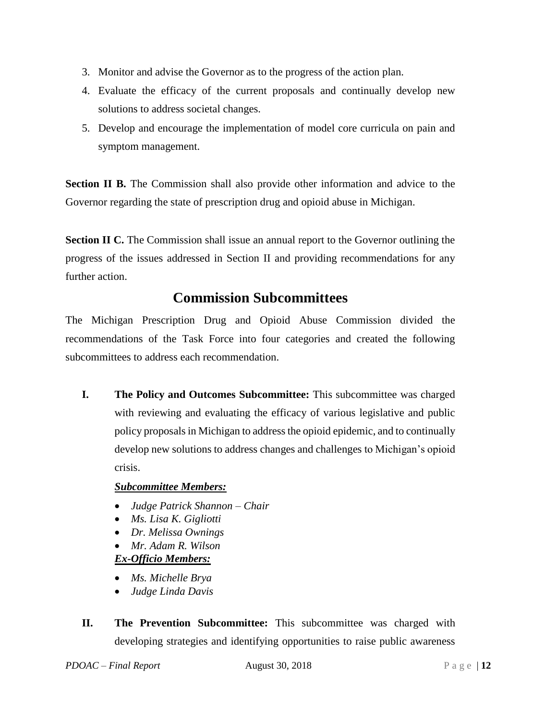- 3. Monitor and advise the Governor as to the progress of the action plan.
- 4. Evaluate the efficacy of the current proposals and continually develop new solutions to address societal changes.
- 5. Develop and encourage the implementation of model core curricula on pain and symptom management.

**Section II B.** The Commission shall also provide other information and advice to the Governor regarding the state of prescription drug and opioid abuse in Michigan.

**Section II C.** The Commission shall issue an annual report to the Governor outlining the progress of the issues addressed in Section II and providing recommendations for any further action.

# **Commission Subcommittees**

The Michigan Prescription Drug and Opioid Abuse Commission divided the recommendations of the Task Force into four categories and created the following subcommittees to address each recommendation.

**I. The Policy and Outcomes Subcommittee:** This subcommittee was charged with reviewing and evaluating the efficacy of various legislative and public policy proposals in Michigan to address the opioid epidemic, and to continually develop new solutions to address changes and challenges to Michigan's opioid crisis.

#### *Subcommittee Members:*

- *Judge Patrick Shannon – Chair*
- *Ms. Lisa K. Gigliotti*
- *Dr. Melissa Ownings*
- *Mr. Adam R. Wilson*

### *Ex-Officio Members:*

- *Ms. Michelle Brya*
- *Judge Linda Davis*
- **II. The Prevention Subcommittee:** This subcommittee was charged with developing strategies and identifying opportunities to raise public awareness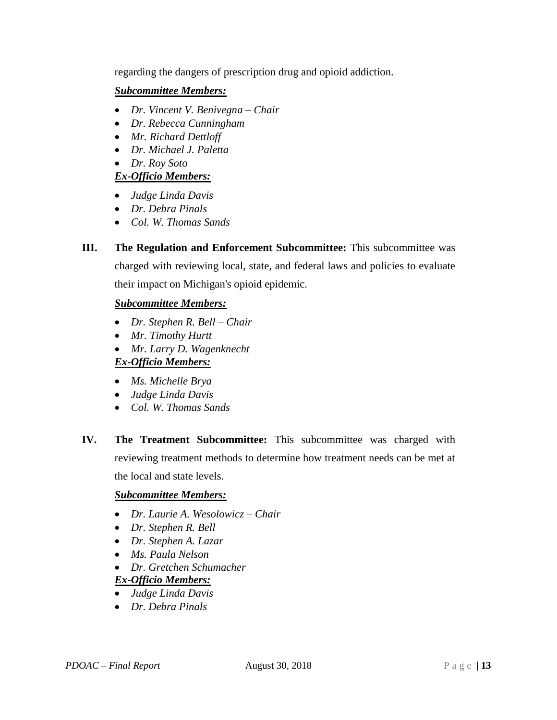regarding the dangers of prescription drug and opioid addiction.

#### *Subcommittee Members:*

- *Dr. Vincent V. Benivegna – Chair*
- *Dr. Rebecca Cunningham*
- *Mr. Richard Dettloff*
- *Dr. Michael J. Paletta*
- *Dr. Roy Soto*

#### *Ex-Officio Members:*

- *Judge Linda Davis*
- *Dr. Debra Pinals*
- *Col. W. Thomas Sands*
- **III. The Regulation and Enforcement Subcommittee:** This subcommittee was charged with reviewing local, state, and federal laws and policies to evaluate their impact on Michigan's opioid epidemic.

#### *Subcommittee Members:*

- *Dr. Stephen R. Bell – Chair*
- *Mr. Timothy Hurtt*
- *Mr. Larry D. Wagenknecht*

#### *Ex-Officio Members:*

- *Ms. Michelle Brya*
- *Judge Linda Davis*
- *Col. W. Thomas Sands*
- **IV. The Treatment Subcommittee:** This subcommittee was charged with reviewing treatment methods to determine how treatment needs can be met at the local and state levels.

#### *Subcommittee Members:*

- *Dr. Laurie A. Wesolowicz – Chair*
- *Dr. Stephen R. Bell*
- *Dr. Stephen A. Lazar*
- *Ms. Paula Nelson*
- *Dr. Gretchen Schumacher*

#### *Ex-Officio Members:*

- *Judge Linda Davis*
- *Dr. Debra Pinals*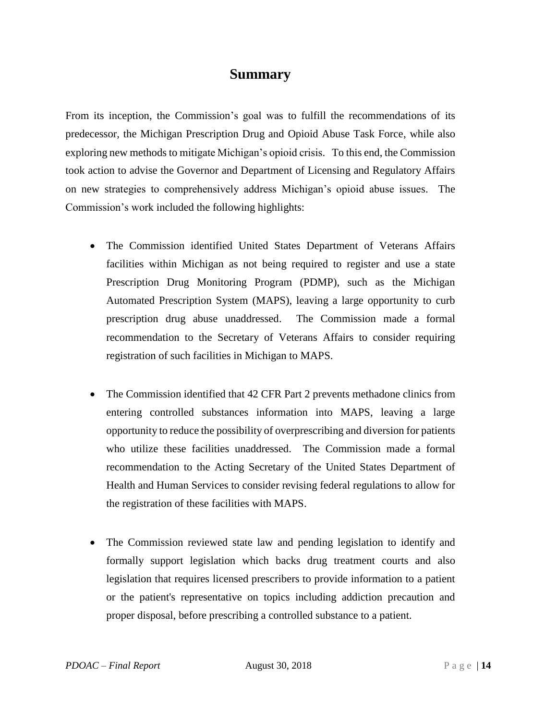### **Summary**

From its inception, the Commission's goal was to fulfill the recommendations of its predecessor, the Michigan Prescription Drug and Opioid Abuse Task Force, while also exploring new methods to mitigate Michigan's opioid crisis. To this end, the Commission took action to advise the Governor and Department of Licensing and Regulatory Affairs on new strategies to comprehensively address Michigan's opioid abuse issues. The Commission's work included the following highlights:

- The Commission identified United States Department of Veterans Affairs facilities within Michigan as not being required to register and use a state Prescription Drug Monitoring Program (PDMP), such as the Michigan Automated Prescription System (MAPS), leaving a large opportunity to curb prescription drug abuse unaddressed. The Commission made a formal recommendation to the Secretary of Veterans Affairs to consider requiring registration of such facilities in Michigan to MAPS.
- The Commission identified that 42 CFR Part 2 prevents methadone clinics from entering controlled substances information into MAPS, leaving a large opportunity to reduce the possibility of overprescribing and diversion for patients who utilize these facilities unaddressed. The Commission made a formal recommendation to the Acting Secretary of the United States Department of Health and Human Services to consider revising federal regulations to allow for the registration of these facilities with MAPS.
- The Commission reviewed state law and pending legislation to identify and formally support legislation which backs drug treatment courts and also legislation that requires licensed prescribers to provide information to a patient or the patient's representative on topics including addiction precaution and proper disposal, before prescribing a controlled substance to a patient.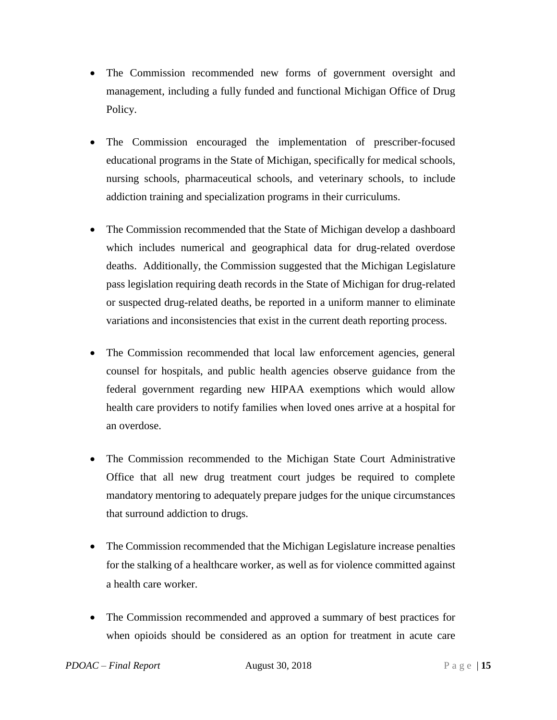- The Commission recommended new forms of government oversight and management, including a fully funded and functional Michigan Office of Drug Policy.
- The Commission encouraged the implementation of prescriber-focused educational programs in the State of Michigan, specifically for medical schools, nursing schools, pharmaceutical schools, and veterinary schools, to include addiction training and specialization programs in their curriculums.
- The Commission recommended that the State of Michigan develop a dashboard which includes numerical and geographical data for drug-related overdose deaths. Additionally, the Commission suggested that the Michigan Legislature pass legislation requiring death records in the State of Michigan for drug-related or suspected drug-related deaths, be reported in a uniform manner to eliminate variations and inconsistencies that exist in the current death reporting process.
- The Commission recommended that local law enforcement agencies, general counsel for hospitals, and public health agencies observe guidance from the federal government regarding new HIPAA exemptions which would allow health care providers to notify families when loved ones arrive at a hospital for an overdose.
- The Commission recommended to the Michigan State Court Administrative Office that all new drug treatment court judges be required to complete mandatory mentoring to adequately prepare judges for the unique circumstances that surround addiction to drugs.
- The Commission recommended that the Michigan Legislature increase penalties for the stalking of a healthcare worker, as well as for violence committed against a health care worker.
- The Commission recommended and approved a summary of best practices for when opioids should be considered as an option for treatment in acute care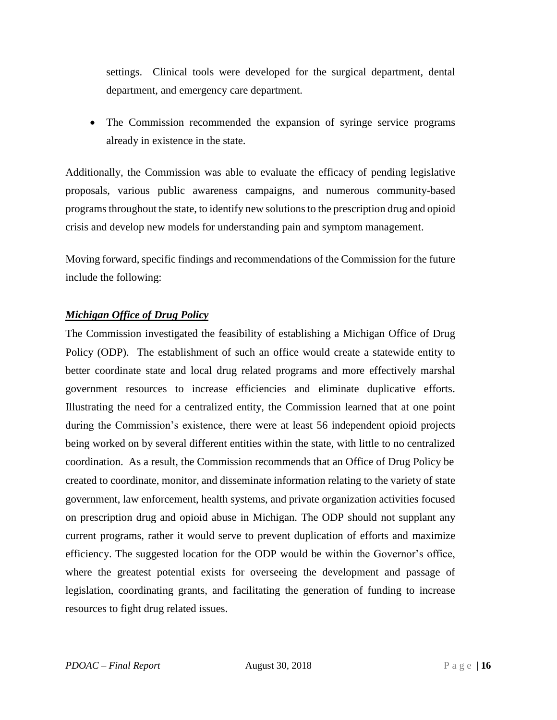settings. Clinical tools were developed for the surgical department, dental department, and emergency care department.

• The Commission recommended the expansion of syringe service programs already in existence in the state.

Additionally, the Commission was able to evaluate the efficacy of pending legislative proposals, various public awareness campaigns, and numerous community-based programs throughout the state, to identify new solutions to the prescription drug and opioid crisis and develop new models for understanding pain and symptom management.

Moving forward, specific findings and recommendations of the Commission for the future include the following:

#### *Michigan Office of Drug Policy*

The Commission investigated the feasibility of establishing a Michigan Office of Drug Policy (ODP). The establishment of such an office would create a statewide entity to better coordinate state and local drug related programs and more effectively marshal government resources to increase efficiencies and eliminate duplicative efforts. Illustrating the need for a centralized entity, the Commission learned that at one point during the Commission's existence, there were at least 56 independent opioid projects being worked on by several different entities within the state, with little to no centralized coordination. As a result, the Commission recommends that an Office of Drug Policy be created to coordinate, monitor, and disseminate information relating to the variety of state government, law enforcement, health systems, and private organization activities focused on prescription drug and opioid abuse in Michigan. The ODP should not supplant any current programs, rather it would serve to prevent duplication of efforts and maximize efficiency. The suggested location for the ODP would be within the Governor's office, where the greatest potential exists for overseeing the development and passage of legislation, coordinating grants, and facilitating the generation of funding to increase resources to fight drug related issues.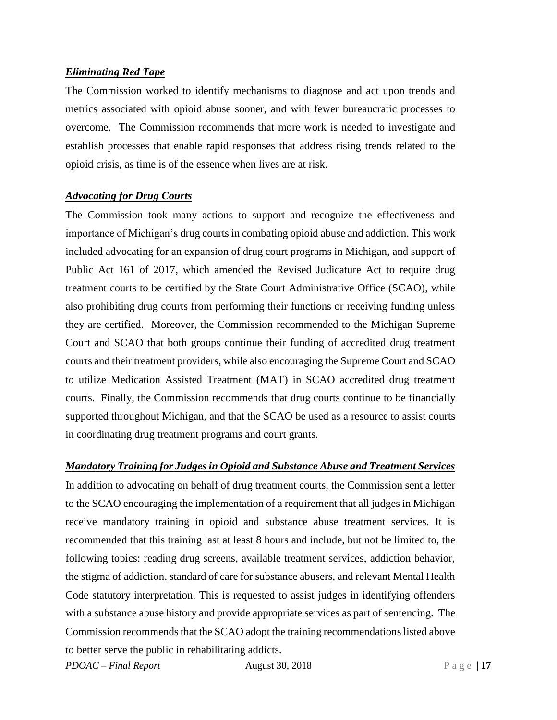#### *Eliminating Red Tape*

The Commission worked to identify mechanisms to diagnose and act upon trends and metrics associated with opioid abuse sooner, and with fewer bureaucratic processes to overcome. The Commission recommends that more work is needed to investigate and establish processes that enable rapid responses that address rising trends related to the opioid crisis, as time is of the essence when lives are at risk.

#### *Advocating for Drug Courts*

The Commission took many actions to support and recognize the effectiveness and importance of Michigan's drug courts in combating opioid abuse and addiction. This work included advocating for an expansion of drug court programs in Michigan, and support of Public Act 161 of 2017, which amended the Revised Judicature Act to require drug treatment courts to be certified by the State Court Administrative Office (SCAO), while also prohibiting drug courts from performing their functions or receiving funding unless they are certified. Moreover, the Commission recommended to the Michigan Supreme Court and SCAO that both groups continue their funding of accredited drug treatment courts and their treatment providers, while also encouraging the Supreme Court and SCAO to utilize Medication Assisted Treatment (MAT) in SCAO accredited drug treatment courts. Finally, the Commission recommends that drug courts continue to be financially supported throughout Michigan, and that the SCAO be used as a resource to assist courts in coordinating drug treatment programs and court grants.

#### *Mandatory Training for Judges in Opioid and Substance Abuse and Treatment Services*

In addition to advocating on behalf of drug treatment courts, the Commission sent a letter to the SCAO encouraging the implementation of a requirement that all judges in Michigan receive mandatory training in opioid and substance abuse treatment services. It is recommended that this training last at least 8 hours and include, but not be limited to, the following topics: reading drug screens, available treatment services, addiction behavior, the stigma of addiction, standard of care for substance abusers, and relevant Mental Health Code statutory interpretation. This is requested to assist judges in identifying offenders with a substance abuse history and provide appropriate services as part of sentencing. The Commission recommends that the SCAO adopt the training recommendations listed above to better serve the public in rehabilitating addicts.

*PDOAC – Final Report* August 30, 2018 P a g e | 17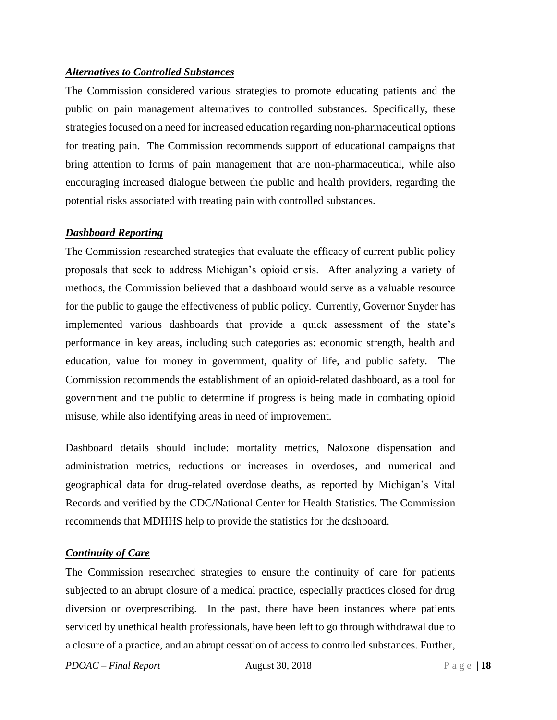#### *Alternatives to Controlled Substances*

The Commission considered various strategies to promote educating patients and the public on pain management alternatives to controlled substances. Specifically, these strategies focused on a need for increased education regarding non-pharmaceutical options for treating pain. The Commission recommends support of educational campaigns that bring attention to forms of pain management that are non-pharmaceutical, while also encouraging increased dialogue between the public and health providers, regarding the potential risks associated with treating pain with controlled substances.

#### *Dashboard Reporting*

The Commission researched strategies that evaluate the efficacy of current public policy proposals that seek to address Michigan's opioid crisis. After analyzing a variety of methods, the Commission believed that a dashboard would serve as a valuable resource for the public to gauge the effectiveness of public policy. Currently, Governor Snyder has implemented various dashboards that provide a quick assessment of the state's performance in key areas, including such categories as: economic strength, health and education, value for money in government, quality of life, and public safety. The Commission recommends the establishment of an opioid-related dashboard, as a tool for government and the public to determine if progress is being made in combating opioid misuse, while also identifying areas in need of improvement.

Dashboard details should include: mortality metrics, Naloxone dispensation and administration metrics, reductions or increases in overdoses, and numerical and geographical data for drug-related overdose deaths, as reported by Michigan's Vital Records and verified by the CDC/National Center for Health Statistics. The Commission recommends that MDHHS help to provide the statistics for the dashboard.

#### *Continuity of Care*

The Commission researched strategies to ensure the continuity of care for patients subjected to an abrupt closure of a medical practice, especially practices closed for drug diversion or overprescribing. In the past, there have been instances where patients serviced by unethical health professionals, have been left to go through withdrawal due to a closure of a practice, and an abrupt cessation of access to controlled substances. Further,

*PDOAC – Final Report* August 30, 2018 Page | 18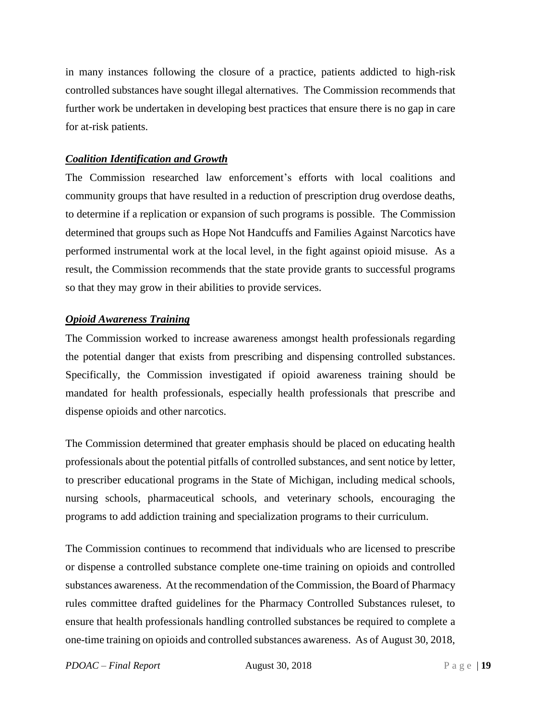in many instances following the closure of a practice, patients addicted to high-risk controlled substances have sought illegal alternatives. The Commission recommends that further work be undertaken in developing best practices that ensure there is no gap in care for at-risk patients.

#### *Coalition Identification and Growth*

The Commission researched law enforcement's efforts with local coalitions and community groups that have resulted in a reduction of prescription drug overdose deaths, to determine if a replication or expansion of such programs is possible. The Commission determined that groups such as Hope Not Handcuffs and Families Against Narcotics have performed instrumental work at the local level, in the fight against opioid misuse. As a result, the Commission recommends that the state provide grants to successful programs so that they may grow in their abilities to provide services.

#### *Opioid Awareness Training*

The Commission worked to increase awareness amongst health professionals regarding the potential danger that exists from prescribing and dispensing controlled substances. Specifically, the Commission investigated if opioid awareness training should be mandated for health professionals, especially health professionals that prescribe and dispense opioids and other narcotics.

The Commission determined that greater emphasis should be placed on educating health professionals about the potential pitfalls of controlled substances, and sent notice by letter, to prescriber educational programs in the State of Michigan, including medical schools, nursing schools, pharmaceutical schools, and veterinary schools, encouraging the programs to add addiction training and specialization programs to their curriculum.

The Commission continues to recommend that individuals who are licensed to prescribe or dispense a controlled substance complete one-time training on opioids and controlled substances awareness. At the recommendation of the Commission, the Board of Pharmacy rules committee drafted guidelines for the Pharmacy Controlled Substances ruleset, to ensure that health professionals handling controlled substances be required to complete a one-time training on opioids and controlled substances awareness. As of August 30, 2018,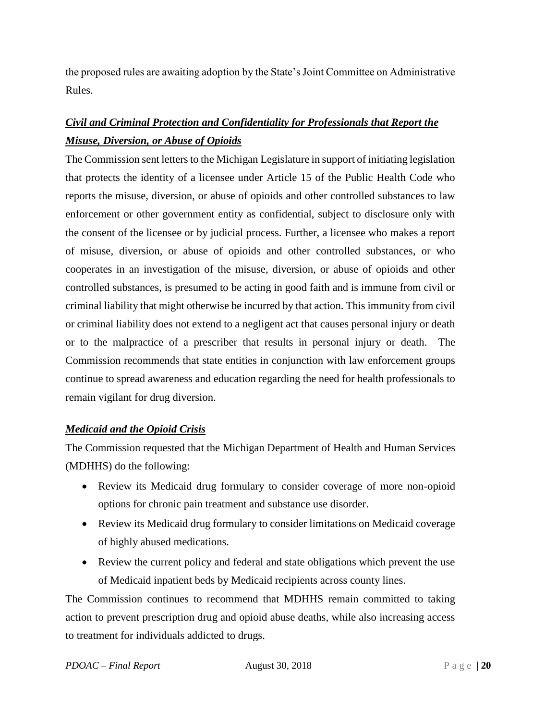the proposed rules are awaiting adoption by the State's Joint Committee on Administrative Rules.

## *Civil and Criminal Protection and Confidentiality for Professionals that Report the Misuse, Diversion, or Abuse of Opioids*

The Commission sent letters to the Michigan Legislature in support of initiating legislation that protects the identity of a licensee under Article 15 of the Public Health Code who reports the misuse, diversion, or abuse of opioids and other controlled substances to law enforcement or other government entity as confidential, subject to disclosure only with the consent of the licensee or by judicial process. Further, a licensee who makes a report of misuse, diversion, or abuse of opioids and other controlled substances, or who cooperates in an investigation of the misuse, diversion, or abuse of opioids and other controlled substances, is presumed to be acting in good faith and is immune from civil or criminal liability that might otherwise be incurred by that action. This immunity from civil or criminal liability does not extend to a negligent act that causes personal injury or death or to the malpractice of a prescriber that results in personal injury or death. The Commission recommends that state entities in conjunction with law enforcement groups continue to spread awareness and education regarding the need for health professionals to remain vigilant for drug diversion.

#### *Medicaid and the Opioid Crisis*

The Commission requested that the Michigan Department of Health and Human Services (MDHHS) do the following:

- Review its Medicaid drug formulary to consider coverage of more non-opioid options for chronic pain treatment and substance use disorder.
- Review its Medicaid drug formulary to consider limitations on Medicaid coverage of highly abused medications.
- Review the current policy and federal and state obligations which prevent the use of Medicaid inpatient beds by Medicaid recipients across county lines.

The Commission continues to recommend that MDHHS remain committed to taking action to prevent prescription drug and opioid abuse deaths, while also increasing access to treatment for individuals addicted to drugs.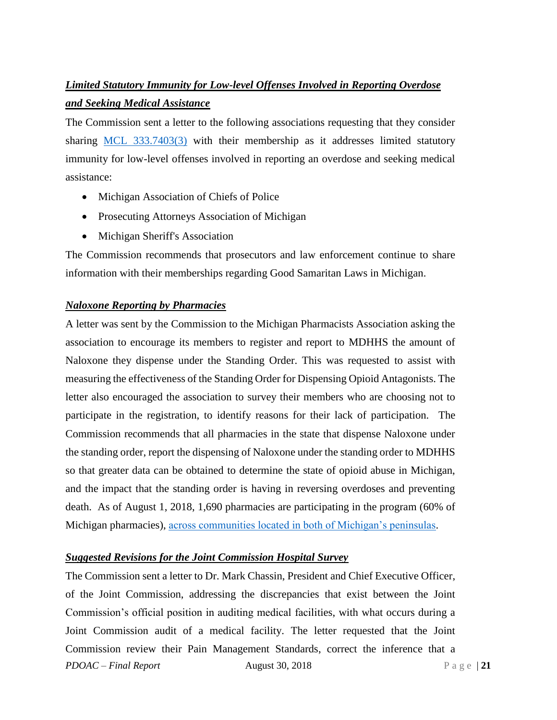# *Limited Statutory Immunity for Low-level Offenses Involved in Reporting Overdose and Seeking Medical Assistance*

The Commission sent a letter to the following associations requesting that they consider sharing [MCL 333.7403\(3\)](http://www.legislature.mi.gov/(S(wcagjtcgnjkjgtscvb0rqpgj))/mileg.aspx?page=GetObject&objectname=mcl-333-7403) with their membership as it addresses limited statutory immunity for low-level offenses involved in reporting an overdose and seeking medical assistance:

- Michigan Association of Chiefs of Police
- Prosecuting Attorneys Association of Michigan
- Michigan Sheriff's Association

The Commission recommends that prosecutors and law enforcement continue to share information with their memberships regarding Good Samaritan Laws in Michigan.

#### *Naloxone Reporting by Pharmacies*

A letter was sent by the Commission to the Michigan Pharmacists Association asking the association to encourage its members to register and report to MDHHS the amount of Naloxone they dispense under the Standing Order. This was requested to assist with measuring the effectiveness of the Standing Order for Dispensing Opioid Antagonists. The letter also encouraged the association to survey their members who are choosing not to participate in the registration, to identify reasons for their lack of participation. The Commission recommends that all pharmacies in the state that dispense Naloxone under the standing order, report the dispensing of Naloxone under the standing order to MDHHS so that greater data can be obtained to determine the state of opioid abuse in Michigan, and the impact that the standing order is having in reversing overdoses and preventing death. As of August 1, 2018, 1,690 pharmacies are participating in the program (60% of Michigan pharmacies), [across communities located in both of Michigan's peninsulas.](https://www.michigan.gov/mdhhs/0,5885,7-339-71550_2941_4871_79584_80133_80135_80309-426713--,00.html)

#### *Suggested Revisions for the Joint Commission Hospital Survey*

*PDOAC – Final Report* August 30, 2018 Page | 21 The Commission sent a letter to Dr. Mark Chassin, President and Chief Executive Officer, of the Joint Commission, addressing the discrepancies that exist between the Joint Commission's official position in auditing medical facilities, with what occurs during a Joint Commission audit of a medical facility. The letter requested that the Joint Commission review their Pain Management Standards, correct the inference that a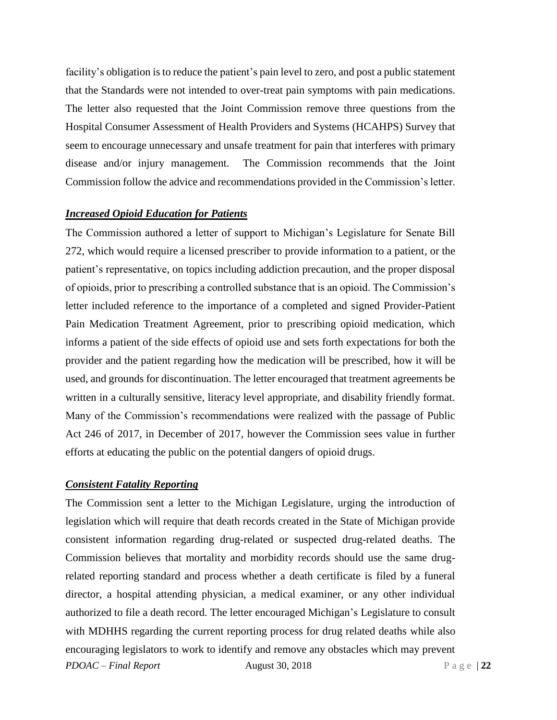facility's obligation is to reduce the patient's pain level to zero, and post a public statement that the Standards were not intended to over-treat pain symptoms with pain medications. The letter also requested that the Joint Commission remove three questions from the Hospital Consumer Assessment of Health Providers and Systems (HCAHPS) Survey that seem to encourage unnecessary and unsafe treatment for pain that interferes with primary disease and/or injury management. The Commission recommends that the Joint Commission follow the advice and recommendations provided in the Commission's letter.

#### *Increased Opioid Education for Patients*

The Commission authored a letter of support to Michigan's Legislature for Senate Bill 272, which would require a licensed prescriber to provide information to a patient, or the patient's representative, on topics including addiction precaution, and the proper disposal of opioids, prior to prescribing a controlled substance that is an opioid. The Commission's letter included reference to the importance of a completed and signed Provider-Patient Pain Medication Treatment Agreement, prior to prescribing opioid medication, which informs a patient of the side effects of opioid use and sets forth expectations for both the provider and the patient regarding how the medication will be prescribed, how it will be used, and grounds for discontinuation. The letter encouraged that treatment agreements be written in a culturally sensitive, literacy level appropriate, and disability friendly format. Many of the Commission's recommendations were realized with the passage of Public Act 246 of 2017, in December of 2017, however the Commission sees value in further efforts at educating the public on the potential dangers of opioid drugs.

#### *Consistent Fatality Reporting*

*PDOAC – Final Report* August 30, 2018 P a g e | 22 The Commission sent a letter to the Michigan Legislature, urging the introduction of legislation which will require that death records created in the State of Michigan provide consistent information regarding drug-related or suspected drug-related deaths. The Commission believes that mortality and morbidity records should use the same drugrelated reporting standard and process whether a death certificate is filed by a funeral director, a hospital attending physician, a medical examiner, or any other individual authorized to file a death record. The letter encouraged Michigan's Legislature to consult with MDHHS regarding the current reporting process for drug related deaths while also encouraging legislators to work to identify and remove any obstacles which may prevent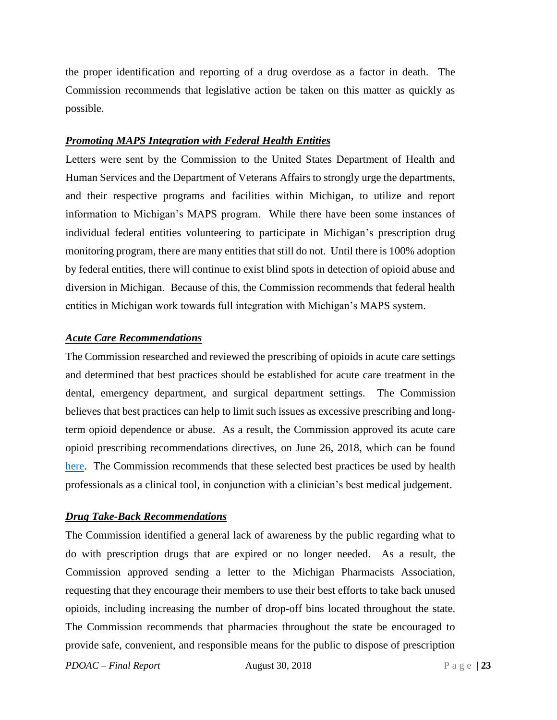the proper identification and reporting of a drug overdose as a factor in death. The Commission recommends that legislative action be taken on this matter as quickly as possible.

#### *Promoting MAPS Integration with Federal Health Entities*

Letters were sent by the Commission to the United States Department of Health and Human Services and the Department of Veterans Affairs to strongly urge the departments, and their respective programs and facilities within Michigan, to utilize and report information to Michigan's MAPS program. While there have been some instances of individual federal entities volunteering to participate in Michigan's prescription drug monitoring program, there are many entities that still do not. Until there is 100% adoption by federal entities, there will continue to exist blind spots in detection of opioid abuse and diversion in Michigan. Because of this, the Commission recommends that federal health entities in Michigan work towards full integration with Michigan's MAPS system.

#### *Acute Care Recommendations*

The Commission researched and reviewed the prescribing of opioids in acute care settings and determined that best practices should be established for acute care treatment in the dental, emergency department, and surgical department settings. The Commission believes that best practices can help to limit such issues as excessive prescribing and longterm opioid dependence or abuse. As a result, the Commission approved its acute care opioid prescribing recommendations directives, on June 26, 2018, which can be found [here.](https://www.michigan.gov/lara/0,4601,7-154-72600_72783_73913_80371---,00.html) The Commission recommends that these selected best practices be used by health professionals as a clinical tool, in conjunction with a clinician's best medical judgement.

#### *Drug Take-Back Recommendations*

The Commission identified a general lack of awareness by the public regarding what to do with prescription drugs that are expired or no longer needed. As a result, the Commission approved sending a letter to the Michigan Pharmacists Association, requesting that they encourage their members to use their best efforts to take back unused opioids, including increasing the number of drop-off bins located throughout the state. The Commission recommends that pharmacies throughout the state be encouraged to provide safe, convenient, and responsible means for the public to dispose of prescription

*PDOAC – Final Report* August 30, 2018 P a g e | 23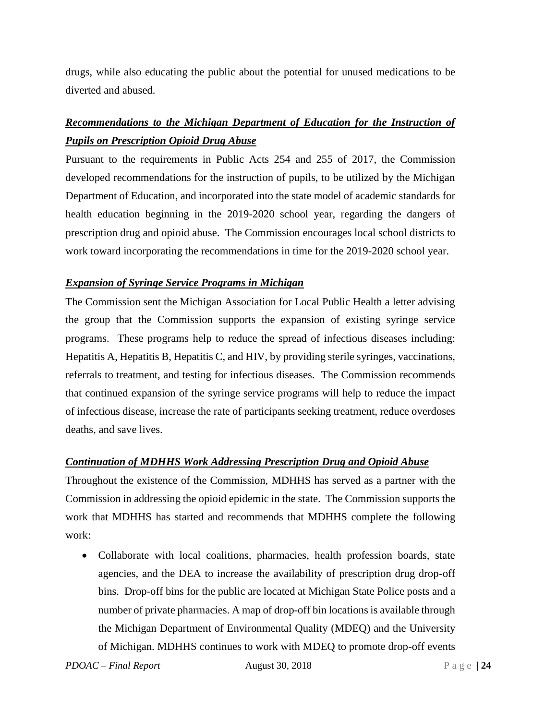drugs, while also educating the public about the potential for unused medications to be diverted and abused.

## *Recommendations to the Michigan Department of Education for the Instruction of Pupils on Prescription Opioid Drug Abuse*

Pursuant to the requirements in Public Acts 254 and 255 of 2017, the Commission developed recommendations for the instruction of pupils, to be utilized by the Michigan Department of Education, and incorporated into the state model of academic standards for health education beginning in the 2019-2020 school year, regarding the dangers of prescription drug and opioid abuse. The Commission encourages local school districts to work toward incorporating the recommendations in time for the 2019-2020 school year.

#### *Expansion of Syringe Service Programs in Michigan*

The Commission sent the Michigan Association for Local Public Health a letter advising the group that the Commission supports the expansion of existing syringe service programs. These programs help to reduce the spread of infectious diseases including: Hepatitis A, Hepatitis B, Hepatitis C, and HIV, by providing sterile syringes, vaccinations, referrals to treatment, and testing for infectious diseases. The Commission recommends that continued expansion of the syringe service programs will help to reduce the impact of infectious disease, increase the rate of participants seeking treatment, reduce overdoses deaths, and save lives.

#### *Continuation of MDHHS Work Addressing Prescription Drug and Opioid Abuse*

Throughout the existence of the Commission, MDHHS has served as a partner with the Commission in addressing the opioid epidemic in the state. The Commission supports the work that MDHHS has started and recommends that MDHHS complete the following work:

• Collaborate with local coalitions, pharmacies, health profession boards, state agencies, and the DEA to increase the availability of prescription drug drop-off bins. Drop-off bins for the public are located at Michigan State Police posts and a number of private pharmacies. A map of drop-off bin locations is available through the Michigan Department of Environmental Quality (MDEQ) and the University of Michigan. MDHHS continues to work with MDEQ to promote drop-off events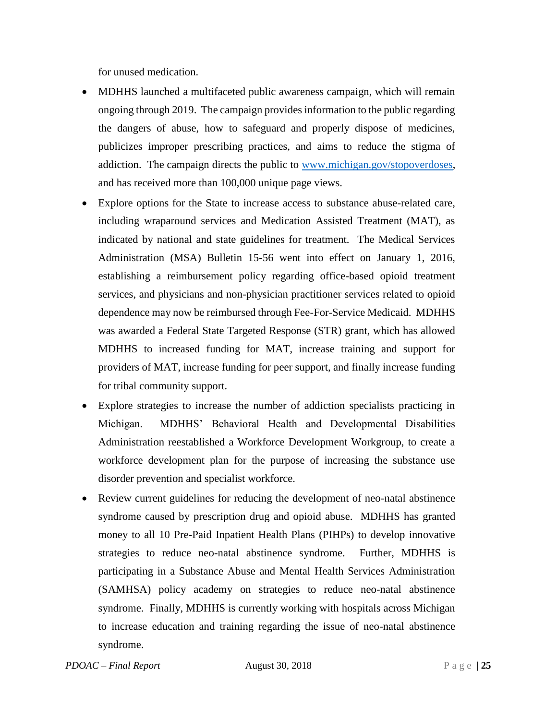for unused medication.

- MDHHS launched a multifaceted public awareness campaign, which will remain ongoing through 2019. The campaign provides information to the public regarding the dangers of abuse, how to safeguard and properly dispose of medicines, publicizes improper prescribing practices, and aims to reduce the stigma of addiction. The campaign directs the public to [www.michigan.gov/stopoverdoses,](http://www.michigan.gov/stopoverdoses) and has received more than 100,000 unique page views.
- Explore options for the State to increase access to substance abuse-related care, including wraparound services and Medication Assisted Treatment (MAT), as indicated by national and state guidelines for treatment. The Medical Services Administration (MSA) Bulletin 15-56 went into effect on January 1, 2016, establishing a reimbursement policy regarding office-based opioid treatment services, and physicians and non-physician practitioner services related to opioid dependence may now be reimbursed through Fee-For-Service Medicaid. MDHHS was awarded a Federal State Targeted Response (STR) grant, which has allowed MDHHS to increased funding for MAT, increase training and support for providers of MAT, increase funding for peer support, and finally increase funding for tribal community support.
- Explore strategies to increase the number of addiction specialists practicing in Michigan. MDHHS' Behavioral Health and Developmental Disabilities Administration reestablished a Workforce Development Workgroup, to create a workforce development plan for the purpose of increasing the substance use disorder prevention and specialist workforce.
- Review current guidelines for reducing the development of neo-natal abstinence syndrome caused by prescription drug and opioid abuse. MDHHS has granted money to all 10 Pre-Paid Inpatient Health Plans (PIHPs) to develop innovative strategies to reduce neo-natal abstinence syndrome. Further, MDHHS is participating in a Substance Abuse and Mental Health Services Administration (SAMHSA) policy academy on strategies to reduce neo-natal abstinence syndrome. Finally, MDHHS is currently working with hospitals across Michigan to increase education and training regarding the issue of neo-natal abstinence syndrome.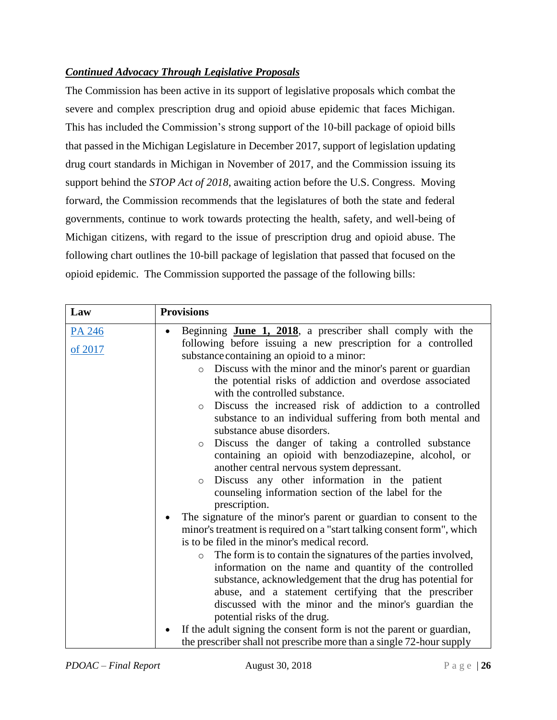#### *Continued Advocacy Through Legislative Proposals*

The Commission has been active in its support of legislative proposals which combat the severe and complex prescription drug and opioid abuse epidemic that faces Michigan. This has included the Commission's strong support of the 10-bill package of opioid bills that passed in the Michigan Legislature in December 2017, support of legislation updating drug court standards in Michigan in November of 2017, and the Commission issuing its support behind the *STOP Act of 2018*, awaiting action before the U.S. Congress. Moving forward, the Commission recommends that the legislatures of both the state and federal governments, continue to work towards protecting the health, safety, and well-being of Michigan citizens, with regard to the issue of prescription drug and opioid abuse. The following chart outlines the 10-bill package of legislation that passed that focused on the opioid epidemic. The Commission supported the passage of the following bills:

| Law     | <b>Provisions</b>                                                         |
|---------|---------------------------------------------------------------------------|
| PA 246  | Beginning <b>June 1, 2018</b> , a prescriber shall comply with the        |
| of 2017 | following before issuing a new prescription for a controlled              |
|         | substance containing an opioid to a minor:                                |
|         | Discuss with the minor and the minor's parent or guardian<br>$\circ$      |
|         | the potential risks of addiction and overdose associated                  |
|         | with the controlled substance.                                            |
|         | Discuss the increased risk of addiction to a controlled<br>$\circ$        |
|         | substance to an individual suffering from both mental and                 |
|         | substance abuse disorders.                                                |
|         | Discuss the danger of taking a controlled substance<br>$\circ$            |
|         | containing an opioid with benzodiazepine, alcohol, or                     |
|         | another central nervous system depressant.                                |
|         | Discuss any other information in the patient<br>$\circ$                   |
|         | counseling information section of the label for the                       |
|         | prescription.                                                             |
|         | The signature of the minor's parent or guardian to consent to the         |
|         | minor's treatment is required on a "start talking consent form", which    |
|         | is to be filed in the minor's medical record.                             |
|         | The form is to contain the signatures of the parties involved,<br>$\circ$ |
|         | information on the name and quantity of the controlled                    |
|         | substance, acknowledgement that the drug has potential for                |
|         | abuse, and a statement certifying that the prescriber                     |
|         | discussed with the minor and the minor's guardian the                     |
|         | potential risks of the drug.                                              |
|         | If the adult signing the consent form is not the parent or guardian,      |
|         | the prescriber shall not prescribe more than a single 72-hour supply      |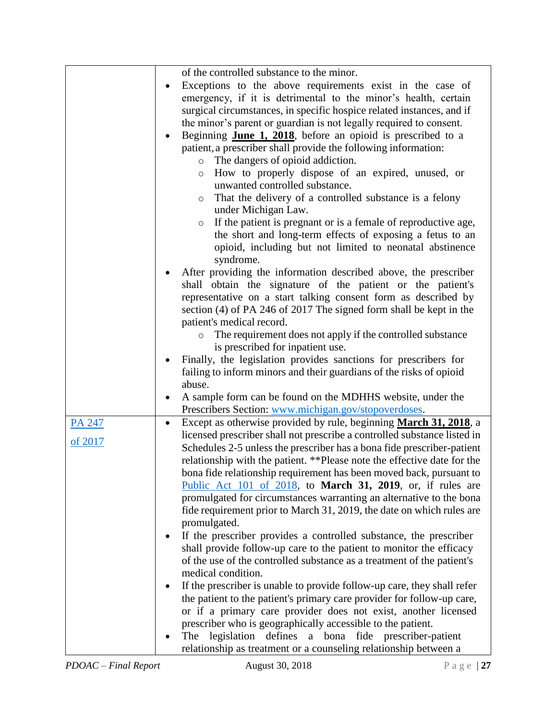|         | of the controlled substance to the minor.                                                      |
|---------|------------------------------------------------------------------------------------------------|
|         | Exceptions to the above requirements exist in the case of                                      |
|         | emergency, if it is detrimental to the minor's health, certain                                 |
|         | surgical circumstances, in specific hospice related instances, and if                          |
|         | the minor's parent or guardian is not legally required to consent.                             |
|         | Beginning <b>June 1, 2018</b> , before an opioid is prescribed to a                            |
|         | patient, a prescriber shall provide the following information:                                 |
|         | o The dangers of opioid addiction.                                                             |
|         |                                                                                                |
|         | How to properly dispose of an expired, unused, or<br>$\circ$<br>unwanted controlled substance. |
|         |                                                                                                |
|         | That the delivery of a controlled substance is a felony<br>$\circ$<br>under Michigan Law.      |
|         |                                                                                                |
|         | If the patient is pregnant or is a female of reproductive age,<br>$\circ$                      |
|         | the short and long-term effects of exposing a fetus to an                                      |
|         | opioid, including but not limited to neonatal abstinence                                       |
|         | syndrome.                                                                                      |
|         | After providing the information described above, the prescriber                                |
|         | shall obtain the signature of the patient or the patient's                                     |
|         | representative on a start talking consent form as described by                                 |
|         | section (4) of PA 246 of 2017 The signed form shall be kept in the                             |
|         | patient's medical record.                                                                      |
|         | The requirement does not apply if the controlled substance<br>$\circ$                          |
|         | is prescribed for inpatient use.                                                               |
|         | Finally, the legislation provides sanctions for prescribers for                                |
|         | failing to inform minors and their guardians of the risks of opioid                            |
|         | abuse.                                                                                         |
|         | A sample form can be found on the MDHHS website, under the                                     |
|         | Prescribers Section: www.michigan.gov/stopoverdoses.                                           |
| PA 247  | Except as otherwise provided by rule, beginning March 31, 2018, a<br>$\bullet$                 |
|         | licensed prescriber shall not prescribe a controlled substance listed in                       |
| of 2017 | Schedules 2-5 unless the prescriber has a bona fide prescriber-patient                         |
|         | relationship with the patient. **Please note the effective date for the                        |
|         | bona fide relationship requirement has been moved back, pursuant to                            |
|         | Public Act 101 of 2018, to March 31, 2019, or, if rules are                                    |
|         | promulgated for circumstances warranting an alternative to the bona                            |
|         | fide requirement prior to March 31, 2019, the date on which rules are                          |
|         | promulgated.                                                                                   |
|         | If the prescriber provides a controlled substance, the prescriber                              |
|         | shall provide follow-up care to the patient to monitor the efficacy                            |
|         |                                                                                                |
|         | of the use of the controlled substance as a treatment of the patient's                         |
|         | medical condition.                                                                             |
|         | If the prescriber is unable to provide follow-up care, they shall refer                        |
|         | the patient to the patient's primary care provider for follow-up care,                         |
|         | or if a primary care provider does not exist, another licensed                                 |
|         | prescriber who is geographically accessible to the patient.                                    |
|         | The legislation defines a bona fide prescriber-patient                                         |
|         | relationship as treatment or a counseling relationship between a                               |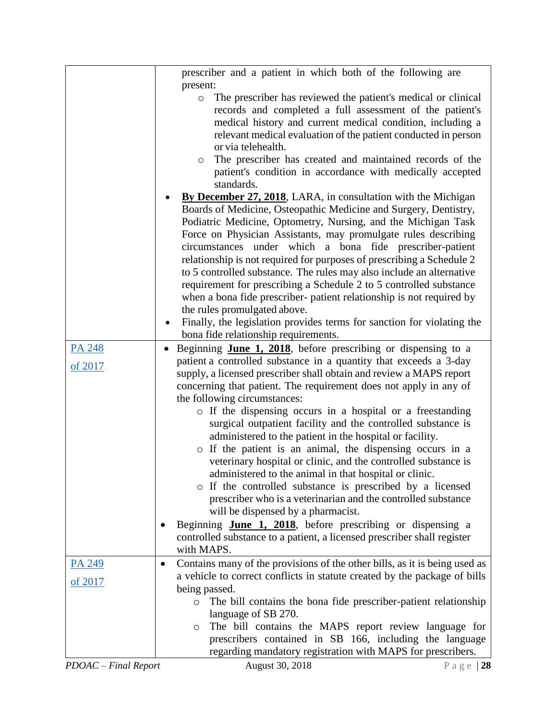|         | prescriber and a patient in which both of the following are                             |
|---------|-----------------------------------------------------------------------------------------|
|         | present:                                                                                |
|         | The prescriber has reviewed the patient's medical or clinical<br>$\circ$                |
|         | records and completed a full assessment of the patient's                                |
|         | medical history and current medical condition, including a                              |
|         | relevant medical evaluation of the patient conducted in person                          |
|         | or via telehealth.                                                                      |
|         | The prescriber has created and maintained records of the<br>0                           |
|         | patient's condition in accordance with medically accepted                               |
|         | standards.                                                                              |
|         | <b>By December 27, 2018</b> , LARA, in consultation with the Michigan                   |
|         | Boards of Medicine, Osteopathic Medicine and Surgery, Dentistry,                        |
|         | Podiatric Medicine, Optometry, Nursing, and the Michigan Task                           |
|         | Force on Physician Assistants, may promulgate rules describing                          |
|         | circumstances under which a bona fide prescriber-patient                                |
|         | relationship is not required for purposes of prescribing a Schedule 2                   |
|         | to 5 controlled substance. The rules may also include an alternative                    |
|         | requirement for prescribing a Schedule 2 to 5 controlled substance                      |
|         | when a bona fide prescriber- patient relationship is not required by                    |
|         | the rules promulgated above.                                                            |
|         | Finally, the legislation provides terms for sanction for violating the                  |
|         | bona fide relationship requirements.                                                    |
| PA 248  | Beginning <b>June 1, 2018</b> , before prescribing or dispensing to a                   |
| of 2017 | patient a controlled substance in a quantity that exceeds a 3-day                       |
|         | supply, a licensed prescriber shall obtain and review a MAPS report                     |
|         | concerning that patient. The requirement does not apply in any of                       |
|         | the following circumstances:                                                            |
|         | o If the dispensing occurs in a hospital or a freestanding                              |
|         | surgical outpatient facility and the controlled substance is                            |
|         | administered to the patient in the hospital or facility.                                |
|         | o If the patient is an animal, the dispensing occurs in a                               |
|         | veterinary hospital or clinic, and the controlled substance is                          |
|         | administered to the animal in that hospital or clinic.                                  |
|         | o If the controlled substance is prescribed by a licensed                               |
|         | prescriber who is a veterinarian and the controlled substance                           |
|         | will be dispensed by a pharmacist.                                                      |
|         | Beginning <b>June 1, 2018</b> , before prescribing or dispensing a                      |
|         | controlled substance to a patient, a licensed prescriber shall register                 |
|         | with MAPS.                                                                              |
| PA 249  | Contains many of the provisions of the other bills, as it is being used as<br>$\bullet$ |
| of 2017 | a vehicle to correct conflicts in statute created by the package of bills               |
|         | being passed.                                                                           |
|         | The bill contains the bona fide prescriber-patient relationship<br>$\circ$              |
|         | language of SB 270.                                                                     |
|         | The bill contains the MAPS report review language for<br>$\circ$                        |
|         | prescribers contained in SB 166, including the language                                 |
|         | regarding mandatory registration with MAPS for prescribers.                             |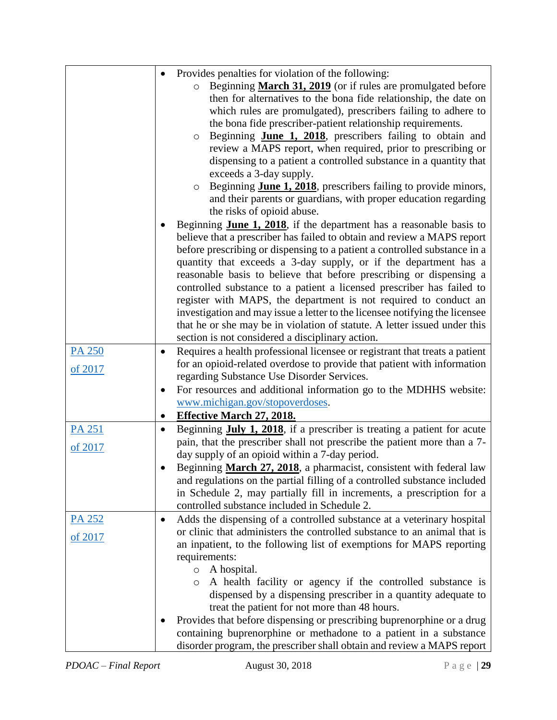|               | Provides penalties for violation of the following:                                                                                                      |
|---------------|---------------------------------------------------------------------------------------------------------------------------------------------------------|
|               | Beginning March 31, 2019 (or if rules are promulgated before<br>$\circ$                                                                                 |
|               | then for alternatives to the bona fide relationship, the date on                                                                                        |
|               | which rules are promulgated), prescribers failing to adhere to                                                                                          |
|               | the bona fide prescriber-patient relationship requirements.                                                                                             |
|               |                                                                                                                                                         |
|               | Beginning June 1, 2018, prescribers failing to obtain and<br>$\circ$                                                                                    |
|               | review a MAPS report, when required, prior to prescribing or                                                                                            |
|               | dispensing to a patient a controlled substance in a quantity that                                                                                       |
|               | exceeds a 3-day supply.                                                                                                                                 |
|               | Beginning <b>June 1, 2018</b> , prescribers failing to provide minors,<br>$\circ$                                                                       |
|               | and their parents or guardians, with proper education regarding                                                                                         |
|               | the risks of opioid abuse.                                                                                                                              |
|               | Beginning <b>June 1, 2018</b> , if the department has a reasonable basis to                                                                             |
|               | believe that a prescriber has failed to obtain and review a MAPS report                                                                                 |
|               | before prescribing or dispensing to a patient a controlled substance in a                                                                               |
|               | quantity that exceeds a 3-day supply, or if the department has a                                                                                        |
|               | reasonable basis to believe that before prescribing or dispensing a                                                                                     |
|               | controlled substance to a patient a licensed prescriber has failed to                                                                                   |
|               | register with MAPS, the department is not required to conduct an                                                                                        |
|               | investigation and may issue a letter to the licensee notifying the licensee                                                                             |
|               | that he or she may be in violation of statute. A letter issued under this                                                                               |
|               | section is not considered a disciplinary action.                                                                                                        |
| <b>PA 250</b> | Requires a health professional licensee or registrant that treats a patient                                                                             |
|               | for an opioid-related overdose to provide that patient with information                                                                                 |
| of 2017       | regarding Substance Use Disorder Services.                                                                                                              |
|               | For resources and additional information go to the MDHHS website:<br>٠                                                                                  |
|               | www.michigan.gov/stopoverdoses.                                                                                                                         |
|               | <b>Effective March 27, 2018.</b>                                                                                                                        |
| <b>PA 251</b> | Beginning July 1, 2018, if a prescriber is treating a patient for acute                                                                                 |
|               | pain, that the prescriber shall not prescribe the patient more than a 7-                                                                                |
| of 2017       | day supply of an opioid within a 7-day period.                                                                                                          |
|               | Beginning March 27, 2018, a pharmacist, consistent with federal law                                                                                     |
|               | and regulations on the partial filling of a controlled substance included                                                                               |
|               | in Schedule 2, may partially fill in increments, a prescription for a                                                                                   |
|               | controlled substance included in Schedule 2.                                                                                                            |
|               |                                                                                                                                                         |
| <u>PA 252</u> | Adds the dispensing of a controlled substance at a veterinary hospital<br>٠<br>or clinic that administers the controlled substance to an animal that is |
| of 2017       |                                                                                                                                                         |
|               | an inpatient, to the following list of exemptions for MAPS reporting                                                                                    |
|               | requirements:                                                                                                                                           |
|               | A hospital.<br>$\circ$                                                                                                                                  |
|               | A health facility or agency if the controlled substance is<br>$\circ$                                                                                   |
|               | dispensed by a dispensing prescriber in a quantity adequate to                                                                                          |
|               | treat the patient for not more than 48 hours.                                                                                                           |
|               | Provides that before dispensing or prescribing buprenorphine or a drug                                                                                  |
|               | containing buprenorphine or methadone to a patient in a substance                                                                                       |
|               | disorder program, the prescriber shall obtain and review a MAPS report                                                                                  |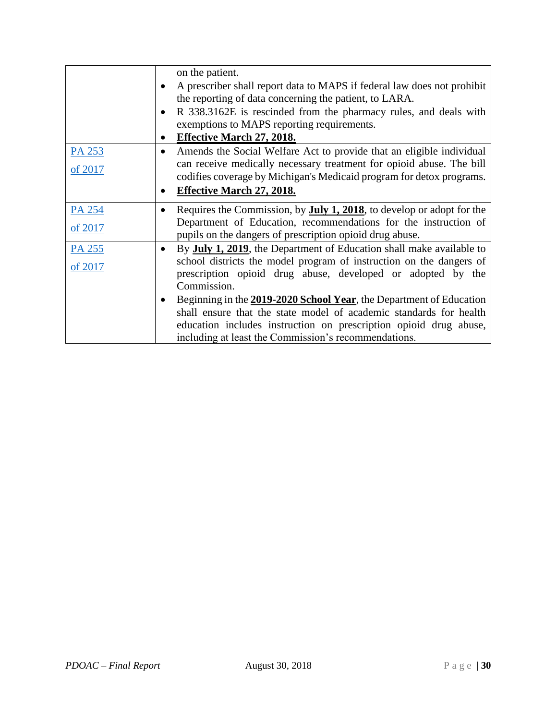|         | on the patient.<br>A prescriber shall report data to MAPS if federal law does not prohibit<br>the reporting of data concerning the patient, to LARA.<br>R 338.3162E is rescinded from the pharmacy rules, and deals with<br>$\bullet$<br>exemptions to MAPS reporting requirements.<br><b>Effective March 27, 2018.</b> |
|---------|-------------------------------------------------------------------------------------------------------------------------------------------------------------------------------------------------------------------------------------------------------------------------------------------------------------------------|
| PA 253  | Amends the Social Welfare Act to provide that an eligible individual<br>$\bullet$                                                                                                                                                                                                                                       |
| of 2017 | can receive medically necessary treatment for opioid abuse. The bill<br>codifies coverage by Michigan's Medicaid program for detox programs.                                                                                                                                                                            |
|         | <b>Effective March 27, 2018.</b><br>$\bullet$                                                                                                                                                                                                                                                                           |
| PA 254  | Requires the Commission, by <b>July 1, 2018</b> , to develop or adopt for the                                                                                                                                                                                                                                           |
| of 2017 | Department of Education, recommendations for the instruction of<br>pupils on the dangers of prescription opioid drug abuse.                                                                                                                                                                                             |
| PA 255  | By <b>July 1, 2019</b> , the Department of Education shall make available to<br>$\bullet$                                                                                                                                                                                                                               |
| of 2017 | school districts the model program of instruction on the dangers of<br>prescription opioid drug abuse, developed or adopted by the<br>Commission.                                                                                                                                                                       |
|         | Beginning in the 2019-2020 School Year, the Department of Education                                                                                                                                                                                                                                                     |
|         | shall ensure that the state model of academic standards for health<br>education includes instruction on prescription opioid drug abuse,<br>including at least the Commission's recommendations.                                                                                                                         |